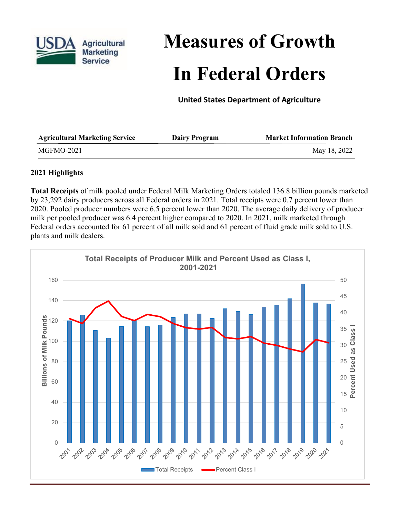

# **Measures of Growth In Federal Orders**

**United States Department of Agriculture**

| <b>Agricultural Marketing Service</b> | <b>Dairy Program</b> | <b>Market Information Branch</b> |
|---------------------------------------|----------------------|----------------------------------|
| MGFMO-2021                            |                      | May 18, 2022                     |

## **2021 Highlights**

**Total Receipts** of milk pooled under Federal Milk Marketing Orders totaled 136.8 billion pounds marketed by 23,292 dairy producers across all Federal orders in 2021. Total receipts were 0.7 percent lower than 2020. Pooled producer numbers were 6.5 percent lower than 2020. The average daily delivery of producer milk per pooled producer was 6.4 percent higher compared to 2020. In 2021, milk marketed through Federal orders accounted for 61 percent of all milk sold and 61 percent of fluid grade milk sold to U.S. plants and milk dealers.

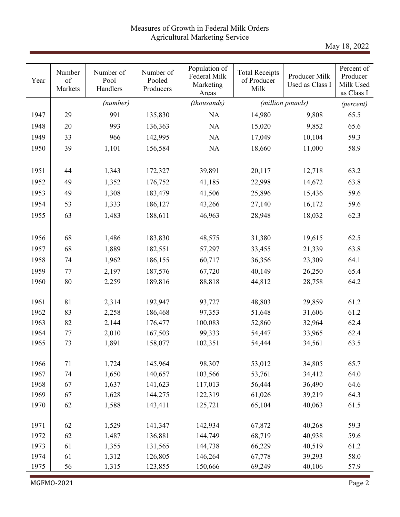## Measures of Growth in Federal Milk Orders Agricultural Marketing Service

May 18, 2022

| Year | Number<br>of<br>Markets | Number of<br>Pool<br>Handlers | Number of<br>Pooled<br>Producers | Population of<br>Federal Milk<br>Marketing<br>Areas | <b>Total Receipts</b><br>of Producer<br>Milk | Producer Milk<br>Used as Class I | Percent of<br>Producer<br>Milk Used<br>as Class I |
|------|-------------------------|-------------------------------|----------------------------------|-----------------------------------------------------|----------------------------------------------|----------------------------------|---------------------------------------------------|
|      |                         | (number)                      |                                  | (thousands)                                         |                                              | (million pounds)                 | (percent)                                         |
| 1947 | 29                      | 991                           | 135,830                          | <b>NA</b>                                           | 14,980                                       | 9,808                            | 65.5                                              |
| 1948 | 20                      | 993                           | 136,363                          | <b>NA</b>                                           | 15,020                                       | 9,852                            | 65.6                                              |
| 1949 | 33                      | 966                           | 142,995                          | NA                                                  | 17,049                                       | 10,104                           | 59.3                                              |
| 1950 | 39                      | 1,101                         | 156,584                          | NA                                                  | 18,660                                       | 11,000                           | 58.9                                              |
|      |                         |                               |                                  |                                                     |                                              |                                  |                                                   |
| 1951 | 44                      | 1,343                         | 172,327                          | 39,891                                              | 20,117                                       | 12,718                           | 63.2                                              |
| 1952 | 49                      | 1,352                         | 176,752                          | 41,185                                              | 22,998                                       | 14,672                           | 63.8                                              |
| 1953 | 49                      | 1,308                         | 183,479                          | 41,506                                              | 25,896                                       | 15,436                           | 59.6                                              |
| 1954 | 53                      | 1,333                         | 186,127                          | 43,266                                              | 27,140                                       | 16,172                           | 59.6                                              |
| 1955 | 63                      | 1,483                         | 188,611                          | 46,963                                              | 28,948                                       | 18,032                           | 62.3                                              |
|      |                         |                               |                                  |                                                     |                                              |                                  |                                                   |
| 1956 | 68                      | 1,486                         | 183,830                          | 48,575                                              | 31,380                                       | 19,615                           | 62.5                                              |
| 1957 | 68                      | 1,889                         | 182,551                          | 57,297                                              | 33,455                                       | 21,339                           | 63.8                                              |
| 1958 | 74                      | 1,962                         | 186,155                          | 60,717                                              | 36,356                                       | 23,309                           | 64.1                                              |
| 1959 | 77                      | 2,197                         | 187,576                          | 67,720                                              | 40,149                                       | 26,250                           | 65.4                                              |
| 1960 | 80                      | 2,259                         | 189,816                          | 88,818                                              | 44,812                                       | 28,758                           | 64.2                                              |
|      |                         |                               |                                  |                                                     |                                              |                                  |                                                   |
| 1961 | 81                      | 2,314                         | 192,947                          | 93,727                                              | 48,803                                       | 29,859                           | 61.2                                              |
| 1962 | 83                      | 2,258                         | 186,468                          | 97,353                                              | 51,648                                       | 31,606                           | 61.2                                              |
| 1963 | 82                      | 2,144                         | 176,477                          | 100,083                                             | 52,860                                       | 32,964                           | 62.4                                              |
| 1964 | 77                      | 2,010                         | 167,503                          | 99,333                                              | 54,447                                       | 33,965                           | 62.4                                              |
| 1965 | 73                      | 1,891                         | 158,077                          | 102,351                                             | 54,444                                       | 34,561                           | 63.5                                              |
|      |                         |                               |                                  |                                                     |                                              |                                  |                                                   |
| 1966 | 71                      | 1,724                         | 145,964                          | 98,307                                              | 53,012                                       | 34,805                           | 65.7                                              |
| 1967 | 74                      | 1,650                         | 140,657                          | 103,566                                             | 53,761                                       | 34,412                           | 64.0                                              |
| 1968 | 67                      | 1,637                         | 141,623                          | 117,013                                             | 56,444                                       | 36,490                           | 64.6                                              |
| 1969 | 67                      | 1,628                         | 144,275                          | 122,319                                             | 61,026                                       | 39,219                           | 64.3                                              |
| 1970 | 62                      | 1,588                         | 143,411                          | 125,721                                             | 65,104                                       | 40,063                           | 61.5                                              |
|      |                         |                               |                                  |                                                     |                                              |                                  |                                                   |
| 1971 | 62                      | 1,529                         | 141,347                          | 142,934                                             | 67,872                                       | 40,268                           | 59.3                                              |
| 1972 | 62                      | 1,487                         | 136,881                          | 144,749                                             | 68,719                                       | 40,938                           | 59.6                                              |
| 1973 | 61                      | 1,355                         | 131,565                          | 144,738                                             | 66,229                                       | 40,519                           | 61.2                                              |
| 1974 | 61                      | 1,312                         | 126,805                          | 146,264                                             | 67,778                                       | 39,293                           | 58.0                                              |
| 1975 | 56                      | 1,315                         | 123,855                          | 150,666                                             | 69,249                                       | 40,106                           | 57.9                                              |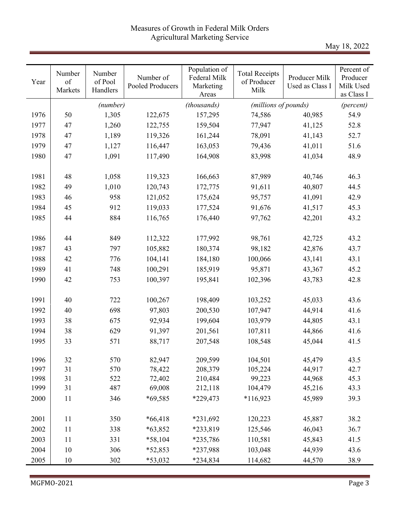## Measures of Growth in Federal Milk Orders Agricultural Marketing Service

May 18, 2022

| Year | Number<br>of<br>Markets | Number<br>of Pool<br>Handlers | Number of<br>Pooled Producers | Population of<br>Federal Milk<br>Marketing<br>Areas | <b>Total Receipts</b><br>of Producer<br>Milk | Producer Milk<br>Used as Class I | Percent of<br>Producer<br>Milk Used<br>as Class I |
|------|-------------------------|-------------------------------|-------------------------------|-----------------------------------------------------|----------------------------------------------|----------------------------------|---------------------------------------------------|
|      |                         | (number)                      |                               | (thousands)                                         | (millions of pounds)                         |                                  | (percent)                                         |
| 1976 | 50                      | 1,305                         | 122,675                       | 157,295                                             | 74,586                                       | 40,985                           | 54.9                                              |
| 1977 | 47                      | 1,260                         | 122,755                       | 159,504                                             | 77,947                                       | 41,125                           | 52.8                                              |
| 1978 | 47                      | 1,189                         | 119,326                       | 161,244                                             | 78,091                                       | 41,143                           | 52.7                                              |
| 1979 | 47                      | 1,127                         | 116,447                       | 163,053                                             | 79,436                                       | 41,011                           | 51.6                                              |
| 1980 | 47                      | 1,091                         | 117,490                       | 164,908                                             | 83,998                                       | 41,034                           | 48.9                                              |
|      |                         |                               |                               |                                                     |                                              |                                  |                                                   |
| 1981 | 48                      | 1,058                         | 119,323                       | 166,663                                             | 87,989                                       | 40,746                           | 46.3                                              |
| 1982 | 49                      | 1,010                         | 120,743                       | 172,775                                             | 91,611                                       | 40,807                           | 44.5                                              |
| 1983 | 46                      | 958                           | 121,052                       | 175,624                                             | 95,757                                       | 41,091                           | 42.9                                              |
| 1984 | 45                      | 912                           | 119,033                       | 177,524                                             | 91,676                                       | 41,517                           | 45.3                                              |
| 1985 | 44                      | 884                           | 116,765                       | 176,440                                             | 97,762                                       | 42,201                           | 43.2                                              |
|      |                         |                               |                               |                                                     |                                              |                                  |                                                   |
| 1986 | 44                      | 849                           | 112,322                       | 177,992                                             | 98,761                                       | 42,725                           | 43.2                                              |
| 1987 | 43                      | 797                           | 105,882                       | 180,374                                             | 98,182                                       | 42,876                           | 43.7                                              |
| 1988 | 42                      | 776                           | 104,141                       | 184,180                                             | 100,066                                      | 43,141                           | 43.1                                              |
| 1989 | 41                      | 748                           | 100,291                       | 185,919                                             | 95,871                                       | 43,367                           | 45.2                                              |
| 1990 | 42                      | 753                           | 100,397                       | 195,841                                             | 102,396                                      | 43,783                           | 42.8                                              |
|      |                         |                               |                               |                                                     |                                              |                                  |                                                   |
| 1991 | 40                      | 722                           | 100,267                       | 198,409                                             | 103,252                                      | 45,033                           | 43.6                                              |
| 1992 | 40                      | 698                           | 97,803                        | 200,530                                             | 107,947                                      | 44,914                           | 41.6                                              |
| 1993 | 38                      | 675                           | 92,934                        | 199,604                                             | 103,979                                      | 44,805                           | 43.1                                              |
| 1994 | 38                      | 629                           | 91,397                        | 201,561                                             | 107,811                                      | 44,866                           | 41.6                                              |
| 1995 | 33                      | 571                           | 88,717                        | 207,548                                             | 108,548                                      | 45,044                           | 41.5                                              |
|      |                         |                               |                               |                                                     |                                              |                                  |                                                   |
| 1996 | 32                      | 570                           | 82,947                        | 209,599                                             | 104,501                                      | 45,479                           | 43.5                                              |
| 1997 | 31                      | 570                           | 78,422                        | 208,379                                             | 105,224                                      | 44,917                           | 42.7                                              |
| 1998 | 31                      | 522                           | 72,402                        | 210,484                                             | 99,223                                       | 44,968                           | 45.3                                              |
| 1999 | 31                      | 487                           | 69,008                        | 212,118                                             | 104,479                                      | 45,216                           | 43.3                                              |
| 2000 | 11                      | 346                           | *69,585                       | *229,473                                            | $*116,923$                                   | 45,989                           | 39.3                                              |
|      |                         |                               |                               |                                                     |                                              |                                  |                                                   |
| 2001 | 11                      | 350                           | $*66,418$                     | *231,692                                            | 120,223                                      | 45,887                           | 38.2                                              |
| 2002 | 11                      | 338                           | $*63,852$                     | *233,819                                            | 125,546                                      | 46,043                           | 36.7                                              |
| 2003 | 11                      | 331                           | *58,104                       | *235,786                                            | 110,581                                      | 45,843                           | 41.5                                              |
| 2004 | 10                      | 306                           | *52,853                       | *237,988                                            | 103,048                                      | 44,939                           | 43.6                                              |
| 2005 | 10                      | 302                           | *53,032                       | *234,834                                            | 114,682                                      | 44,570                           | 38.9                                              |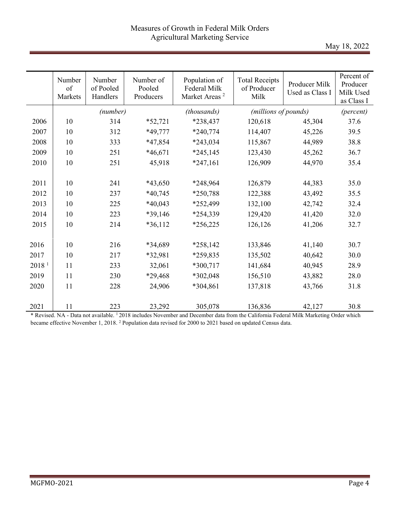May 18, 2022

|                   | Number<br>of<br>Markets | Number<br>of Pooled<br>Handlers | Number of<br>Pooled<br>Producers | Population of<br>Federal Milk<br>Market Areas <sup>2</sup> | <b>Total Receipts</b><br>of Producer<br>Milk | Producer Milk<br>Used as Class I | Percent of<br>Producer<br>Milk Used<br>as Class I |
|-------------------|-------------------------|---------------------------------|----------------------------------|------------------------------------------------------------|----------------------------------------------|----------------------------------|---------------------------------------------------|
|                   |                         | (number)                        |                                  | (thousands)                                                | (millions of pounds)                         |                                  | (percent)                                         |
| 2006              | 10                      | 314                             | $*52,721$                        | *238,437                                                   | 120,618                                      | 45,304                           | 37.6                                              |
| 2007              | 10                      | 312                             | *49,777                          | $*240,774$                                                 | 114,407                                      | 45,226                           | 39.5                                              |
| 2008              | 10                      | 333                             | *47,854                          | $*243,034$                                                 | 115,867                                      | 44,989                           | 38.8                                              |
| 2009              | 10                      | 251                             | $*46,671$                        | $*245,145$                                                 | 123,430                                      | 45,262                           | 36.7                                              |
| 2010              | 10                      | 251                             | 45,918                           | $*247,161$                                                 | 126,909                                      | 44,970                           | 35.4                                              |
|                   |                         |                                 |                                  |                                                            |                                              |                                  |                                                   |
| 2011              | 10                      | 241                             | *43,650                          | *248,964                                                   | 126,879                                      | 44,383                           | 35.0                                              |
| 2012              | 10                      | 237                             | $*40,745$                        | *250,788                                                   | 122,388                                      | 43,492                           | 35.5                                              |
| 2013              | 10                      | 225                             | $*40,043$                        | *252,499                                                   | 132,100                                      | 42,742                           | 32.4                                              |
| 2014              | 10                      | 223                             | *39,146                          | *254,339                                                   | 129,420                                      | 41,420                           | 32.0                                              |
| 2015              | 10                      | 214                             | $*36,112$                        | $*256,225$                                                 | 126,126                                      | 41,206                           | 32.7                                              |
|                   |                         |                                 |                                  |                                                            |                                              |                                  |                                                   |
| 2016              | 10                      | 216                             | *34,689                          | $*258,142$                                                 | 133,846                                      | 41,140                           | 30.7                                              |
| 2017              | 10                      | 217                             | *32,981                          | *259,835                                                   | 135,502                                      | 40,642                           | 30.0                                              |
| 2018 <sup>1</sup> | 11                      | 233                             | 32,061                           | $*300,717$                                                 | 141,684                                      | 40,945                           | 28.9                                              |
| 2019              | 11                      | 230                             | *29,468                          | *302,048                                                   | 156,510                                      | 43,882                           | 28.0                                              |
| 2020              | 11                      | 228                             | 24,906                           | *304,861                                                   | 137,818                                      | 43,766                           | 31.8                                              |
|                   |                         |                                 |                                  |                                                            |                                              |                                  |                                                   |
| 2021              | 11                      | 223                             | 23,292                           | 305,078                                                    | 136,836                                      | 42,127                           | 30.8                                              |

\* Revised. NA - Data not available. 1 2018 includes November and December data from the California Federal Milk Marketing Order which became effective November 1, 2018. <sup>2</sup> Population data revised for 2000 to 2021 based on updated Census data.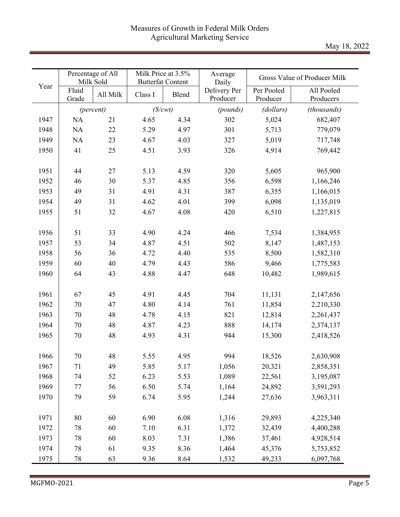|      |                | Percentage of All<br>Milk Sold | Milk Price at 3.5% | <b>Butterfat Content</b> | Average<br>Daily         |                        | Gross Value of Producer Milk |
|------|----------------|--------------------------------|--------------------|--------------------------|--------------------------|------------------------|------------------------------|
| Year | Fluid<br>Grade | All Milk                       | Class I            | Blend                    | Delivery Per<br>Producer | Per Pooled<br>Producer | All Pooled<br>Producers      |
|      |                | (percent)                      | (S/cwt)            |                          | (pounds)                 | (dollars)              | (thousands)                  |
| 1947 | NA             | 21                             | 4.65               | 4.34                     | 302                      | 5,024                  | 682,407                      |
| 1948 | NA             | 22                             | 5.29               | 4.97                     | 301                      | 5,713                  | 779,079                      |
| 1949 | NA             | 23                             | 4.67               | 4.03                     | 327                      | 5,019                  | 717,748                      |
| 1950 | 41             | 25                             | 4.51               | 3.93                     | 326                      | 4,914                  | 769,442                      |
|      |                |                                |                    |                          |                          |                        |                              |
| 1951 | 44             | 27                             | 5.13               | 4.59                     | 320                      | 5,605                  | 965,900                      |
| 1952 | 46             | 30                             | 5.37               | 4.85                     | 356                      | 6,598                  | 1,166,246                    |
| 1953 | 49             | 31                             | 4.91               | 4.31                     | 387                      | 6,355                  | 1,166,015                    |
| 1954 | 49             | 31                             | 4.62               | 4.01                     | 399                      | 6,098                  | 1,135,019                    |
| 1955 | 51             | 32                             | 4.67               | 4.08                     | 420                      | 6,510                  | 1,227,815                    |
|      |                |                                |                    |                          |                          |                        |                              |
| 1956 | 51             | 33                             | 4.90               | 4.24                     | 466                      | 7,534                  | 1,384,955                    |
| 1957 | 53             | 34                             | 4.87               | 4.51                     | 502                      | 8,147                  | 1,487,153                    |
| 1958 | 56             | 36                             | 4.72               | 4.40                     | 535                      | 8,500                  | 1,582,310                    |
| 1959 | 60             | 40                             | 4.79               | 4.43                     | 586                      | 9,466                  | 1,775,583                    |
| 1960 | 64             | 43                             | 4.88               | 4.47                     | 648                      | 10,482                 | 1,989,615                    |
|      |                |                                |                    |                          |                          |                        |                              |
| 1961 | 67             | 45                             | 4.91               | 4.45                     | 704                      | 11,131                 | 2,147,656                    |
| 1962 | 70             | 47                             | 4.80               | 4.14                     | 761                      | 11,854                 | 2,210,330                    |
| 1963 | 70             | 48                             | 4.78               | 4.15                     | 821                      | 12,814                 | 2,261,437                    |
| 1964 | 70             | 48                             | 4.87               | 4.23                     | 888                      | 14,174                 | 2,374,137                    |
| 1965 | 70             | 48                             | 4.93               | 4.31                     | 944                      | 15,300                 | 2,418,526                    |
|      |                |                                |                    |                          |                          |                        |                              |
| 1966 | 70             | 48                             | 5.55               | 4.95                     | 994                      | 18,526                 | 2,630,908                    |
| 1967 | 71             | 49                             | 5.85               | 5.17                     | 1,056                    | 20,321                 | 2,858,351                    |
| 1968 | 74             | 52                             | 6.23               | 5.53                     | 1,089                    | 22,561                 | 3,195,087                    |
| 1969 | 77             | 56                             | 6.50               | 5.74                     | 1,164                    | 24,892                 | 3,591,293                    |
| 1970 | 79             | 59                             | 6.74               | 5.95                     | 1,244                    | 27,636                 | 3,963,311                    |
|      |                |                                |                    |                          |                          |                        |                              |
| 1971 | $80\,$         | 60                             | 6.90               | 6.08                     | 1,316                    | 29,893                 | 4,225,340                    |
| 1972 | 78             | 60                             | 7.10               | 6.31                     | 1,372                    | 32,439                 | 4,400,288                    |
| 1973 | 78             | 60                             | 8.03               | 7.31                     | 1,386                    | 37,461                 | 4,928,514                    |
| 1974 | 78             | 61                             | 9.35               | 8.36                     | 1,464                    | 45,376                 | 5,753,852                    |
| 1975 | 78             | 63                             | 9.36               | 8.64                     | 1,532                    | 49,233                 | 6,097,768                    |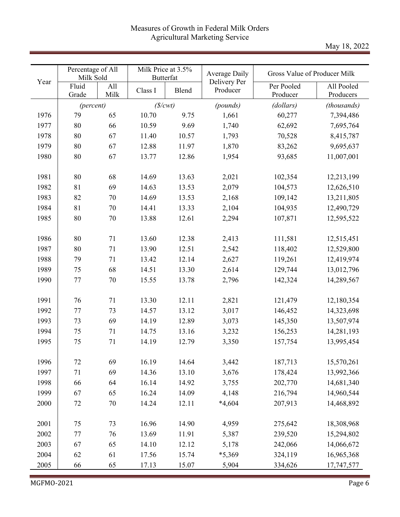May 18, 2022

|      | Percentage of All<br>Milk Sold |             | Milk Price at 3.5% | <b>Butterfat</b> | Average Daily            | Gross Value of Producer Milk |                         |
|------|--------------------------------|-------------|--------------------|------------------|--------------------------|------------------------------|-------------------------|
| Year | Fluid<br>Grade                 | All<br>Milk | Class I            | Blend            | Delivery Per<br>Producer | Per Pooled<br>Producer       | All Pooled<br>Producers |
|      |                                | (percent)   |                    | (S/cwt)          | (pounds)                 | (dollars)                    | (thousands)             |
| 1976 | 79                             | 65          | 10.70              | 9.75             | 1,661                    | 60,277                       | 7,394,486               |
| 1977 | 80                             | 66          | 10.59              | 9.69             | 1,740                    | 62,692                       | 7,695,764               |
| 1978 | 80                             | 67          | 11.40              | 10.57            | 1,793                    | 70,528                       | 8,415,787               |
| 1979 | 80                             | 67          | 12.88              | 11.97            | 1,870                    | 83,262                       | 9,695,637               |
| 1980 | 80                             | 67          | 13.77              | 12.86            | 1,954                    | 93,685                       | 11,007,001              |
| 1981 | 80                             | 68          | 14.69              | 13.63            | 2,021                    | 102,354                      | 12,213,199              |
| 1982 | 81                             | 69          | 14.63              | 13.53            | 2,079                    | 104,573                      | 12,626,510              |
| 1983 | 82                             | 70          | 14.69              | 13.53            | 2,168                    | 109,142                      | 13,211,805              |
| 1984 | 81                             | 70          | 14.41              | 13.33            | 2,104                    | 104,935                      | 12,490,729              |
| 1985 | 80                             | 70          | 13.88              | 12.61            | 2,294                    | 107,871                      | 12,595,522              |
| 1986 | 80                             | 71          | 13.60              | 12.38            | 2,413                    | 111,581                      | 12,515,451              |
| 1987 | 80                             | 71          | 13.90              | 12.51            | 2,542                    | 118,402                      | 12,529,800              |
| 1988 | 79                             | 71          | 13.42              | 12.14            | 2,627                    | 119,261                      | 12,419,974              |
| 1989 | 75                             | 68          | 14.51              | 13.30            | 2,614                    | 129,744                      | 13,012,796              |
| 1990 | 77                             | $70\,$      | 15.55              | 13.78            | 2,796                    | 142,324                      | 14,289,567              |
| 1991 | 76                             | 71          | 13.30              | 12.11            | 2,821                    | 121,479                      | 12,180,354              |
| 1992 | 77                             | 73          | 14.57              | 13.12            | 3,017                    | 146,452                      | 14,323,698              |
| 1993 | 73                             | 69          | 14.19              | 12.89            | 3,073                    | 145,350                      | 13,507,974              |
| 1994 | 75                             | 71          | 14.75              | 13.16            | 3,232                    | 156,253                      | 14,281,193              |
| 1995 | 75                             | 71          | 14.19              | 12.79            | 3,350                    | 157,754                      | 13,995,454              |
| 1996 | 72                             | 69          | 16.19              | 14.64            | 3,442                    | 187,713                      | 15,570,261              |
| 1997 | 71                             | 69          | 14.36              | 13.10            | 3,676                    | 178,424                      | 13,992,366              |
| 1998 | 66                             | 64          | 16.14              | 14.92            | 3,755                    | 202,770                      | 14,681,340              |
| 1999 | 67                             | 65          | 16.24              | 14.09            | 4,148                    | 216,794                      | 14,960,544              |
| 2000 | 72                             | 70          | 14.24              | 12.11            | $*4,604$                 | 207,913                      | 14,468,892              |
| 2001 | 75                             | 73          | 16.96              | 14.90            | 4,959                    | 275,642                      | 18,308,968              |
| 2002 | 77                             | 76          | 13.69              | 11.91            | 5,387                    | 239,520                      | 15,294,802              |
| 2003 | 67                             | 65          | 14.10              | 12.12            | 5,178                    | 242,066                      | 14,066,672              |
| 2004 | 62                             | 61          | 17.56              | 15.74            | *5,369                   | 324,119                      | 16,965,368              |
| 2005 | 66                             | 65          | 17.13              | 15.07            | 5,904                    | 334,626                      | 17,747,577              |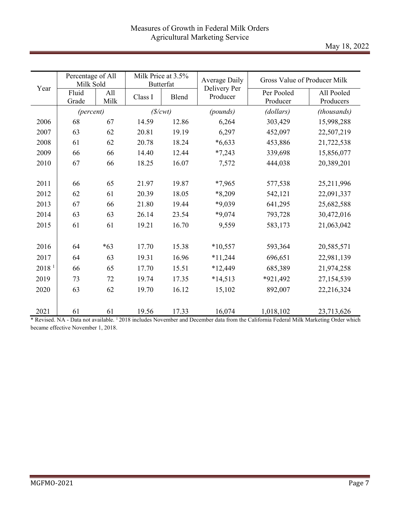|                   | Percentage of All<br>Milk Sold |             | Milk Price at 3.5%<br><b>Butterfat</b> |       | <b>Average Daily</b>     | Gross Value of Producer Milk |                         |
|-------------------|--------------------------------|-------------|----------------------------------------|-------|--------------------------|------------------------------|-------------------------|
| Year              | Fluid<br>Grade                 | All<br>Milk | Class I                                | Blend | Delivery Per<br>Producer | Per Pooled<br>Producer       | All Pooled<br>Producers |
|                   | (percent)                      |             | (S/cwt)                                |       | (pounds)                 | (dollars)                    | (thousands)             |
| 2006              | 68                             | 67          | 14.59                                  | 12.86 | 6,264                    | 303,429                      | 15,998,288              |
| 2007              | 63                             | 62          | 20.81                                  | 19.19 | 6,297                    | 452,097                      | 22,507,219              |
| 2008              | 61                             | 62          | 20.78                                  | 18.24 | $*6,633$                 | 453,886                      | 21,722,538              |
| 2009              | 66                             | 66          | 14.40                                  | 12.44 | $*7,243$                 | 339,698                      | 15,856,077              |
| 2010              | 67                             | 66          | 18.25                                  | 16.07 | 7,572                    | 444,038                      | 20,389,201              |
|                   |                                |             |                                        |       |                          |                              |                         |
| 2011              | 66                             | 65          | 21.97                                  | 19.87 | $*7,965$                 | 577,538                      | 25,211,996              |
| 2012              | 62                             | 61          | 20.39                                  | 18.05 | *8,209                   | 542,121                      | 22,091,337              |
| 2013              | 67                             | 66          | 21.80                                  | 19.44 | *9,039                   | 641,295                      | 25,682,588              |
| 2014              | 63                             | 63          | 26.14                                  | 23.54 | $*9,074$                 | 793,728                      | 30,472,016              |
| 2015              | 61                             | 61          | 19.21                                  | 16.70 | 9,559                    | 583,173                      | 21,063,042              |
|                   |                                |             |                                        |       |                          |                              |                         |
| 2016              | 64                             | $*63$       | 17.70                                  | 15.38 | $*10,557$                | 593,364                      | 20,585,571              |
| 2017              | 64                             | 63          | 19.31                                  | 16.96 | $*11,244$                | 696,651                      | 22,981,139              |
| 2018 <sup>1</sup> | 66                             | 65          | 17.70                                  | 15.51 | *12,449                  | 685,389                      | 21,974,258              |
| 2019              | 73                             | 72          | 19.74                                  | 17.35 | $*14,513$                | *921,492                     | 27,154,539              |
| 2020              | 63                             | 62          | 19.70                                  | 16.12 | 15,102                   | 892,007                      | 22,216,324              |
|                   |                                |             |                                        |       |                          |                              |                         |
| 2021              | 61                             | 61          | 19.56                                  | 17.33 | 16,074                   | 1,018,102                    | 23,713,626              |

\* Revised. NA - Data not available. 1 2018 includes November and December data from the California Federal Milk Marketing Order which became effective November 1, 2018.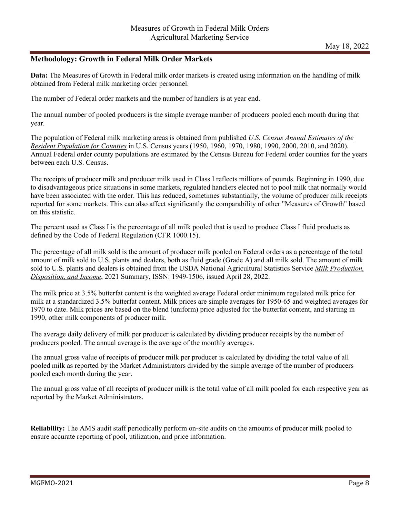#### **Methodology: Growth in Federal Milk Order Markets**

**Data:** The Measures of Growth in Federal milk order markets is created using information on the handling of milk obtained from Federal milk marketing order personnel.

The number of Federal order markets and the number of handlers is at year end.

The annual number of pooled producers is the simple average number of producers pooled each month during that year.

The population of Federal milk marketing areas is obtained from published *U.S. Census Annual Estimates of the Resident Population for Counties* in U.S. Census years (1950, 1960, 1970, 1980, 1990, 2000, 2010, and 2020). Annual Federal order county populations are estimated by the Census Bureau for Federal order counties for the years between each U.S. Census.

The receipts of producer milk and producer milk used in Class I reflects millions of pounds. Beginning in 1990, due to disadvantageous price situations in some markets, regulated handlers elected not to pool milk that normally would have been associated with the order. This has reduced, sometimes substantially, the volume of producer milk receipts reported for some markets. This can also affect significantly the comparability of other "Measures of Growth" based on this statistic.

The percent used as Class I is the percentage of all milk pooled that is used to produce Class I fluid products as defined by the Code of Federal Regulation (CFR 1000.15).

The percentage of all milk sold is the amount of producer milk pooled on Federal orders as a percentage of the total amount of milk sold to U.S. plants and dealers, both as fluid grade (Grade A) and all milk sold. The amount of milk sold to U.S. plants and dealers is obtained from the USDA National Agricultural Statistics Service *Milk Production, Disposition, and Income*, 2021 Summary, ISSN: 1949-1506, issued April 28, 2022.

The milk price at 3.5% butterfat content is the weighted average Federal order minimum regulated milk price for milk at a standardized 3.5% butterfat content. Milk prices are simple averages for 1950-65 and weighted averages for 1970 to date. Milk prices are based on the blend (uniform) price adjusted for the butterfat content, and starting in 1990, other milk components of producer milk.

The average daily delivery of milk per producer is calculated by dividing producer receipts by the number of producers pooled. The annual average is the average of the monthly averages.

The annual gross value of receipts of producer milk per producer is calculated by dividing the total value of all pooled milk as reported by the Market Administrators divided by the simple average of the number of producers pooled each month during the year.

The annual gross value of all receipts of producer milk is the total value of all milk pooled for each respective year as reported by the Market Administrators.

**Reliability:** The AMS audit staff periodically perform on-site audits on the amounts of producer milk pooled to ensure accurate reporting of pool, utilization, and price information.